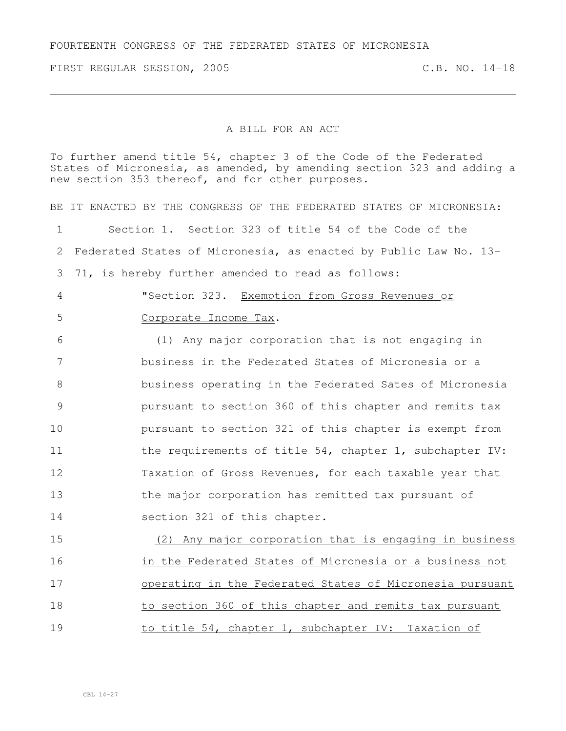FIRST REGULAR SESSION, 2005 C.B. NO. 14-18

## A BILL FOR AN ACT

To further amend title 54, chapter 3 of the Code of the Federated States of Micronesia, as amended, by amending section 323 and adding a new section 353 thereof, and for other purposes.

BE IT ENACTED BY THE CONGRESS OF THE FEDERATED STATES OF MICRONESIA: Section 1. Section 323 of title 54 of the Code of the Federated States of Micronesia, as enacted by Public Law No. 13- 71, is hereby further amended to read as follows: "Section 323. Exemption from Gross Revenues or Corporate Income Tax. (1) Any major corporation that is not engaging in business in the Federated States of Micronesia or a business operating in the Federated Sates of Micronesia pursuant to section 360 of this chapter and remits tax pursuant to section 321 of this chapter is exempt from 11 the requirements of title 54, chapter 1, subchapter IV: Taxation of Gross Revenues, for each taxable year that the major corporation has remitted tax pursuant of section 321 of this chapter. (2) Any major corporation that is engaging in business in the Federated States of Micronesia or a business not operating in the Federated States of Micronesia pursuant to section 360 of this chapter and remits tax pursuant 19 to title 54, chapter 1, subchapter IV: Taxation of